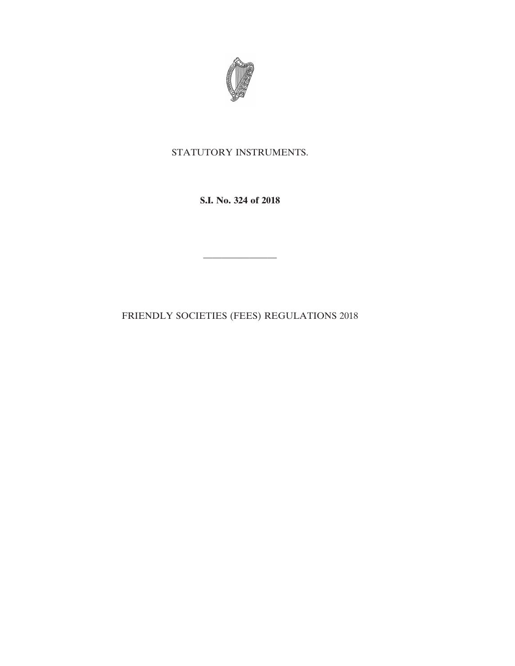

# STATUTORY INSTRUMENTS.

**S.I. No. 324 of 2018**

————————

FRIENDLY SOCIETIES (FEES) REGULATIONS 2018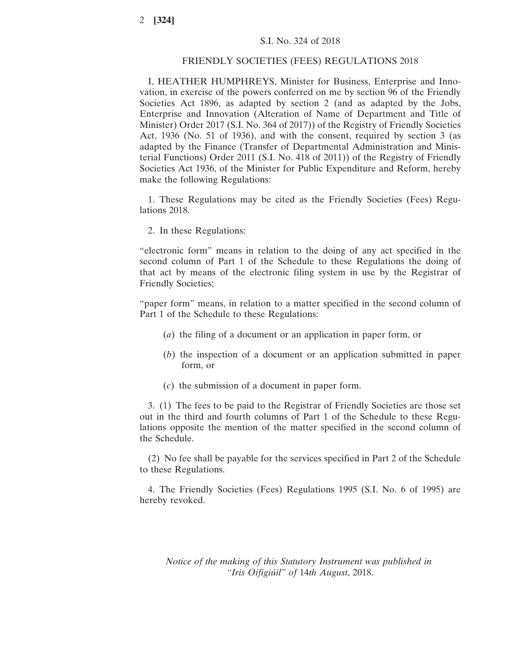### S.I. No. 324 of 2018

#### FRIENDLY SOCIETIES (FEES) REGULATIONS 2018

I, HEATHER HUMPHREYS, Minister for Business, Enterprise and Innovation, in exercise of the powers conferred on me by section 96 of the Friendly Societies Act 1896, as adapted by section 2 (and as adapted by the Jobs, Enterprise and Innovation (Alteration of Name of Department and Title of Minister) Order 2017 (S.I. No. 364 of 2017)) of the Registry of Friendly Societies Act, 1936 (No. 51 of 1936), and with the consent, required by section 3 (as adapted by the Finance (Transfer of Departmental Administration and Ministerial Functions) Order 2011 (S.I. No. 418 of 2011)) of the Registry of Friendly Societies Act 1936, of the Minister for Public Expenditure and Reform, hereby make the following Regulations:

1. These Regulations may be cited as the Friendly Societies (Fees) Regulations 2018.

2. In these Regulations:

"electronic form" means in relation to the doing of any act specified in the second column of Part 1 of the Schedule to these Regulations the doing of that act by means of the electronic filing system in use by the Registrar of Friendly Societies;

"paper form" means, in relation to a matter specified in the second column of Part 1 of the Schedule to these Regulations:

- (*a*) the filing of a document or an application in paper form, or
- (*b*) the inspection of a document or an application submitted in paper form, or
- (*c*) the submission of a document in paper form.

3. (1) The fees to be paid to the Registrar of Friendly Societies are those set out in the third and fourth columns of Part 1 of the Schedule to these Regulations opposite the mention of the matter specified in the second column of the Schedule.

(2) No fee shall be payable for the services specified in Part 2 of the Schedule to these Regulations.

4. The Friendly Societies (Fees) Regulations 1995 (S.I. No. 6 of 1995) are hereby revoked.

*Notice of the making of this Statutory Instrument was published in "Iris Oifigiúil" of* 14*th August*, 2018.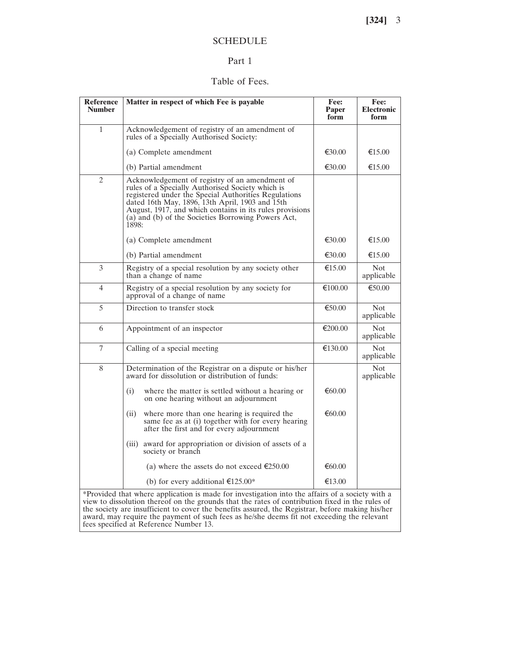## SCHEDULE

### Part 1

## Table of Fees.

| <b>Reference</b><br><b>Number</b>                                                                                                                                                                                                                                                                      | Matter in respect of which Fee is payable                                                                                                                                                                                                                                                                                                | Fee:<br>Paper<br>form | Fee:<br><b>Electronic</b><br>form |  |  |
|--------------------------------------------------------------------------------------------------------------------------------------------------------------------------------------------------------------------------------------------------------------------------------------------------------|------------------------------------------------------------------------------------------------------------------------------------------------------------------------------------------------------------------------------------------------------------------------------------------------------------------------------------------|-----------------------|-----------------------------------|--|--|
| 1                                                                                                                                                                                                                                                                                                      | Acknowledgement of registry of an amendment of<br>rules of a Specially Authorised Society:                                                                                                                                                                                                                                               |                       |                                   |  |  |
|                                                                                                                                                                                                                                                                                                        | (a) Complete amendment                                                                                                                                                                                                                                                                                                                   | €30.00                | €15.00                            |  |  |
|                                                                                                                                                                                                                                                                                                        | (b) Partial amendment                                                                                                                                                                                                                                                                                                                    | €30.00                | €15.00                            |  |  |
| 2                                                                                                                                                                                                                                                                                                      | Acknowledgement of registry of an amendment of<br>rules of a Specially Authorised Society which is<br>registered under the Special Authorities Regulations<br>dated 16th May, 1896, 13th April, 1903 and 15th<br>August, 1917, and which contains in its rules provisions<br>(a) and (b) of the Societies Borrowing Powers Act,<br>1898: |                       |                                   |  |  |
|                                                                                                                                                                                                                                                                                                        | (a) Complete amendment                                                                                                                                                                                                                                                                                                                   | €30.00                | €15.00                            |  |  |
|                                                                                                                                                                                                                                                                                                        | (b) Partial amendment                                                                                                                                                                                                                                                                                                                    | €30.00                | €15.00                            |  |  |
| 3                                                                                                                                                                                                                                                                                                      | Registry of a special resolution by any society other<br>than a change of name                                                                                                                                                                                                                                                           | €15.00                | Not.<br>applicable                |  |  |
| 4                                                                                                                                                                                                                                                                                                      | Registry of a special resolution by any society for<br>approval of a change of name                                                                                                                                                                                                                                                      | €100.00               | €50.00                            |  |  |
| 5                                                                                                                                                                                                                                                                                                      | Direction to transfer stock                                                                                                                                                                                                                                                                                                              | €50.00                | <b>Not</b><br>applicable          |  |  |
| 6                                                                                                                                                                                                                                                                                                      | Appointment of an inspector                                                                                                                                                                                                                                                                                                              | €200.00               | <b>Not</b><br>applicable          |  |  |
| 7                                                                                                                                                                                                                                                                                                      | Calling of a special meeting                                                                                                                                                                                                                                                                                                             | €130.00               | <b>Not</b><br>applicable          |  |  |
| 8                                                                                                                                                                                                                                                                                                      | Determination of the Registrar on a dispute or his/her<br>award for dissolution or distribution of funds:                                                                                                                                                                                                                                |                       | <b>Not</b><br>applicable          |  |  |
|                                                                                                                                                                                                                                                                                                        | (i)<br>where the matter is settled without a hearing or<br>on one hearing without an adjournment                                                                                                                                                                                                                                         | € $60.00$             |                                   |  |  |
|                                                                                                                                                                                                                                                                                                        | where more than one hearing is required the<br>(ii)<br>same fee as at (i) together with for every hearing<br>after the first and for every adjournment                                                                                                                                                                                   | €60.00                |                                   |  |  |
|                                                                                                                                                                                                                                                                                                        | award for appropriation or division of assets of a<br>(iii)<br>society or branch                                                                                                                                                                                                                                                         |                       |                                   |  |  |
|                                                                                                                                                                                                                                                                                                        | (a) where the assets do not exceed €250.00                                                                                                                                                                                                                                                                                               | € $60.00$             |                                   |  |  |
|                                                                                                                                                                                                                                                                                                        | (b) for every additional $£125.00*$                                                                                                                                                                                                                                                                                                      | €13.00                |                                   |  |  |
| *Provided that where application is made for investigation into the affairs of a society with a<br>view to dissolution thereof on the grounds that the rates of contribution fixed in the rules of<br>the society are insufficient to cover the benefits assured, the Registrar, before making his/her |                                                                                                                                                                                                                                                                                                                                          |                       |                                   |  |  |

award, may require the payment of such fees as he/she deems fit not exceeding the relevant

fees specified at Reference Number 13.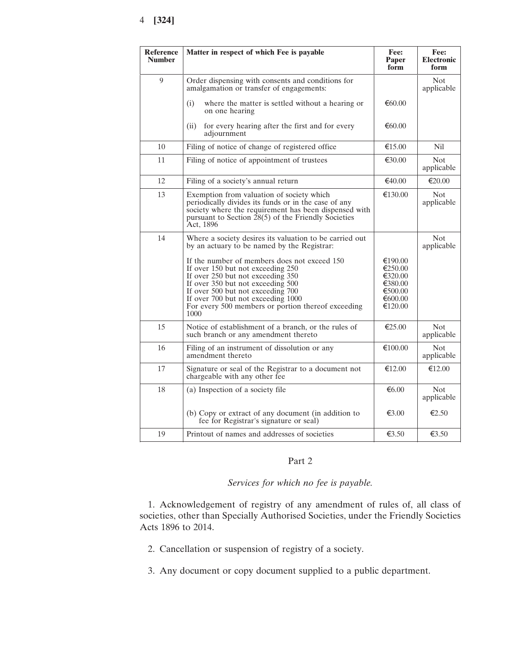## 4 **[324]**

| Reference<br><b>Number</b> | Matter in respect of which Fee is payable                                                                                                                                                                                                                                                                                                                                                                      | Fee:<br>Paper<br>form                                                     | Fee:<br><b>Electronic</b><br>form |
|----------------------------|----------------------------------------------------------------------------------------------------------------------------------------------------------------------------------------------------------------------------------------------------------------------------------------------------------------------------------------------------------------------------------------------------------------|---------------------------------------------------------------------------|-----------------------------------|
| 9                          | Order dispensing with consents and conditions for<br>amalgamation or transfer of engagements:                                                                                                                                                                                                                                                                                                                  |                                                                           | Not<br>applicable                 |
|                            | (i)<br>where the matter is settled without a hearing or<br>on one hearing                                                                                                                                                                                                                                                                                                                                      | €60.00                                                                    |                                   |
|                            | for every hearing after the first and for every<br>(ii)<br>adjournment                                                                                                                                                                                                                                                                                                                                         | € $60.00$                                                                 |                                   |
| 10                         | Filing of notice of change of registered office                                                                                                                                                                                                                                                                                                                                                                | €15.00                                                                    | <b>Nil</b>                        |
| 11                         | Filing of notice of appointment of trustees                                                                                                                                                                                                                                                                                                                                                                    | €30.00                                                                    | Not.<br>applicable                |
| 12                         | Filing of a society's annual return                                                                                                                                                                                                                                                                                                                                                                            | €40.00                                                                    | €20.00                            |
| 13                         | Exemption from valuation of society which<br>periodically divides its funds or in the case of any<br>society where the requirement has been dispensed with<br>pursuant to Section $\hat{28}(5)$ of the Friendly Societies<br>Act, 1896                                                                                                                                                                         | €130.00                                                                   | <b>Not</b><br>applicable          |
| 14                         | Where a society desires its valuation to be carried out<br>by an actuary to be named by the Registrar:<br>If the number of members does not exceed 150<br>If over 150 but not exceeding 250<br>If over 250 but not exceeding 350<br>If over 350 but not exceeding 500<br>If over 500 but not exceeding 700<br>If over 700 but not exceeding 1000<br>For every 500 members or portion thereof exceeding<br>1000 | €190.00<br>€250.00<br>€320.00<br>€380.00<br>€500.00<br>€600.00<br>€120.00 | <b>Not</b><br>applicable          |
| 15                         | Notice of establishment of a branch, or the rules of<br>such branch or any amendment thereto                                                                                                                                                                                                                                                                                                                   | €25.00                                                                    | <b>Not</b><br>applicable          |
| 16                         | Filing of an instrument of dissolution or any<br>amendment thereto                                                                                                                                                                                                                                                                                                                                             | €100.00                                                                   | <b>Not</b><br>applicable          |
| 17                         | Signature or seal of the Registrar to a document not<br>chargeable with any other fee                                                                                                                                                                                                                                                                                                                          | €12.00                                                                    | €12.00                            |
| 18                         | (a) Inspection of a society file                                                                                                                                                                                                                                                                                                                                                                               | € $6.00$                                                                  | <b>Not</b><br>applicable          |
|                            | (b) Copy or extract of any document (in addition to<br>fee for Registrar's signature or seal)                                                                                                                                                                                                                                                                                                                  | €3.00                                                                     | €2.50                             |
| 19                         | Printout of names and addresses of societies                                                                                                                                                                                                                                                                                                                                                                   | €3.50                                                                     | €3.50                             |
|                            |                                                                                                                                                                                                                                                                                                                                                                                                                |                                                                           |                                   |

## Part 2

## *Services for which no fee is payable.*

1. Acknowledgement of registry of any amendment of rules of, all class of societies, other than Specially Authorised Societies, under the Friendly Societies Acts 1896 to 2014.

- 2. Cancellation or suspension of registry of a society.
- 3. Any document or copy document supplied to a public department.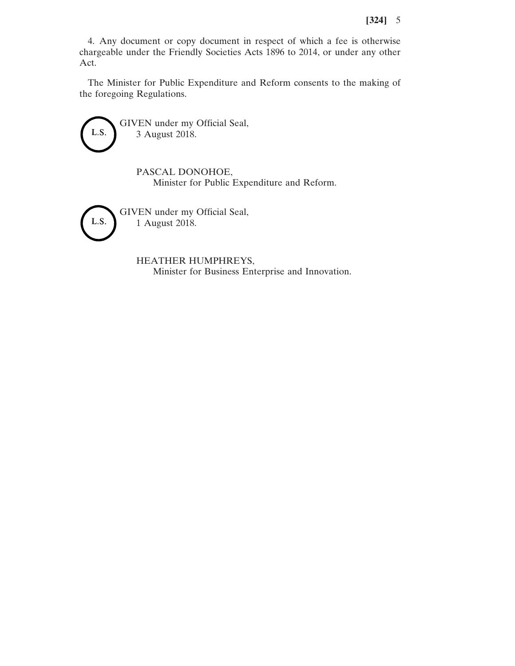4. Any document or copy document in respect of which a fee is otherwise chargeable under the Friendly Societies Acts 1896 to 2014, or under any other Act.

The Minister for Public Expenditure and Reform consents to the making of the foregoing Regulations.



GIVEN under my Official Seal, 3 August 2018.

> PASCAL DONOHOE, Minister for Public Expenditure and Reform.



GIVEN under my Official Seal, 1 August 2018.

> HEATHER HUMPHREYS, Minister for Business Enterprise and Innovation.